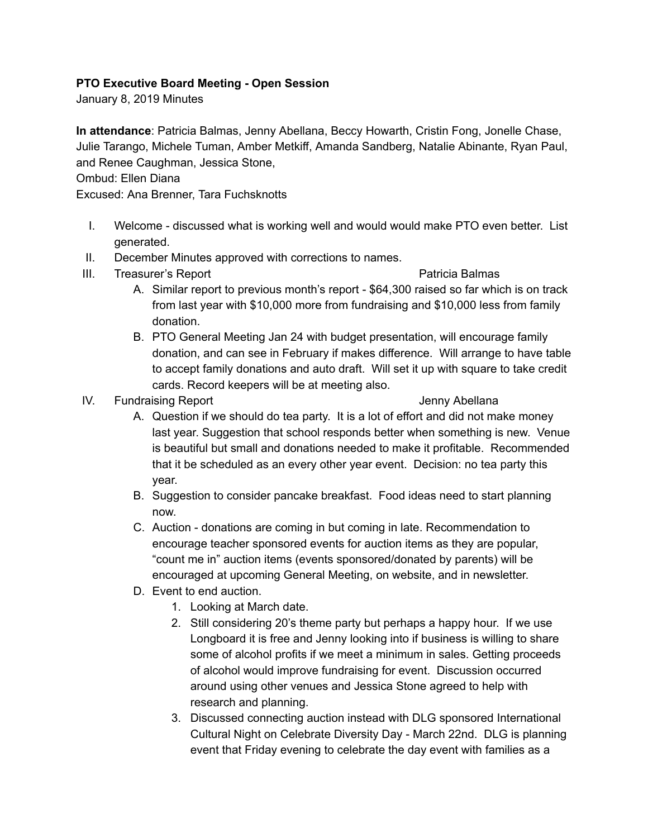## **PTO Executive Board Meeting Open Session**

January 8, 2019 Minutes

**In attendance**: Patricia Balmas, Jenny Abellana, Beccy Howarth, Cristin Fong, Jonelle Chase, Julie Tarango, Michele Tuman, Amber Metkiff, Amanda Sandberg, Natalie Abinante, Ryan Paul, and Renee Caughman, Jessica Stone,

## Ombud: Ellen Diana

Excused: Ana Brenner, Tara Fuchsknotts

- I. Welcome discussed what is working well and would would make PTO even better. List generated.
- II. December Minutes approved with corrections to names.
- III. Treasurer's Report **Patricia Balmas** 
	- A. Similar report to previous month's report \$64,300 raised so far which is on track from last year with \$10,000 more from fundraising and \$10,000 less from family donation.
	- B. PTO General Meeting Jan 24 with budget presentation, will encourage family donation, and can see in February if makes difference. Will arrange to have table to accept family donations and auto draft. Will set it up with square to take credit cards. Record keepers will be at meeting also.
- IV. Fundraising Report **IV.** Fundraising Report

- A. Question if we should do tea party. It is a lot of effort and did not make money last year. Suggestion that school responds better when something is new. Venue is beautiful but small and donations needed to make it profitable. Recommended that it be scheduled as an every other year event. Decision: no tea party this year.
- B. Suggestion to consider pancake breakfast. Food ideas need to start planning now.
- C. Auction donations are coming in but coming in late. Recommendation to encourage teacher sponsored events for auction items as they are popular, "count me in" auction items (events sponsored/donated by parents) will be encouraged at upcoming General Meeting, on website, and in newsletter.
- D. Event to end auction.
	- 1. Looking at March date.
	- 2. Still considering 20's theme party but perhaps a happy hour. If we use Longboard it is free and Jenny looking into if business is willing to share some of alcohol profits if we meet a minimum in sales. Getting proceeds of alcohol would improve fundraising for event. Discussion occurred around using other venues and Jessica Stone agreed to help with research and planning.
	- 3. Discussed connecting auction instead with DLG sponsored International Cultural Night on Celebrate Diversity Day - March 22nd. DLG is planning event that Friday evening to celebrate the day event with families as a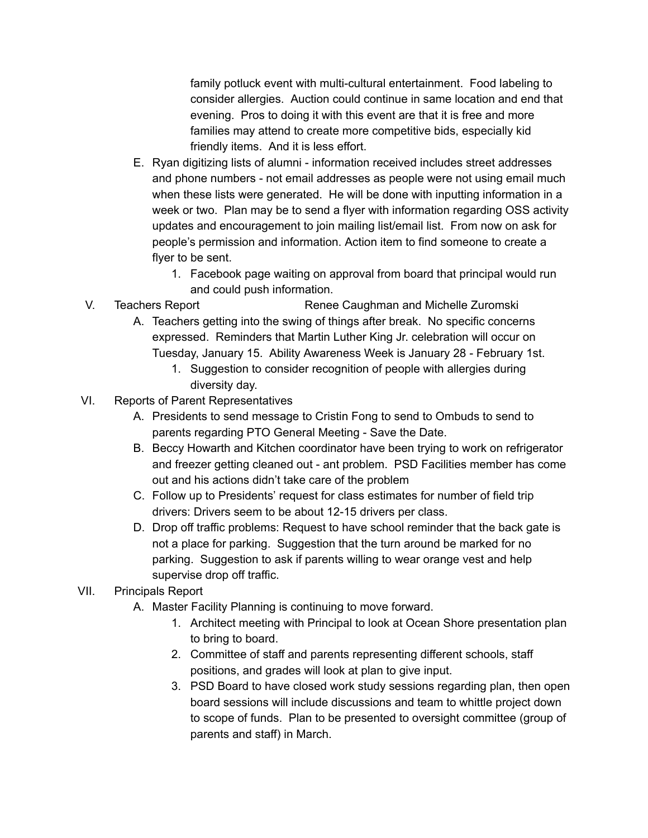family potluck event with multi-cultural entertainment. Food labeling to consider allergies. Auction could continue in same location and end that evening. Pros to doing it with this event are that it is free and more families may attend to create more competitive bids, especially kid friendly items. And it is less effort.

- E. Ryan digitizing lists of alumni information received includes street addresses and phone numbers - not email addresses as people were not using email much when these lists were generated. He will be done with inputting information in a week or two. Plan may be to send a flyer with information regarding OSS activity updates and encouragement to join mailing list/email list. From now on ask for people's permission and information. Action item to find someone to create a flyer to be sent.
	- 1. Facebook page waiting on approval from board that principal would run and could push information.
- V. Teachers Report **Renee Caughman and Michelle Zuromski** 
	- A. Teachers getting into the swing of things after break. No specific concerns expressed. Reminders that Martin Luther King Jr. celebration will occur on Tuesday, January 15. Ability Awareness Week is January 28 February 1st.
		- 1. Suggestion to consider recognition of people with allergies during diversity day.
- VI. Reports of Parent Representatives
	- A. Presidents to send message to Cristin Fong to send to Ombuds to send to parents regarding PTO General Meeting - Save the Date.
	- B. Beccy Howarth and Kitchen coordinator have been trying to work on refrigerator and freezer getting cleaned out - ant problem. PSD Facilities member has come out and his actions didn't take care of the problem
	- C. Follow up to Presidents' request for class estimates for number of field trip drivers: Drivers seem to be about 12-15 drivers per class.
	- D. Drop off traffic problems: Request to have school reminder that the back gate is not a place for parking. Suggestion that the turn around be marked for no parking. Suggestion to ask if parents willing to wear orange vest and help supervise drop off traffic.
- VII. Principals Report
	- A. Master Facility Planning is continuing to move forward.
		- 1. Architect meeting with Principal to look at Ocean Shore presentation plan to bring to board.
		- 2. Committee of staff and parents representing different schools, staff positions, and grades will look at plan to give input.
		- 3. PSD Board to have closed work study sessions regarding plan, then open board sessions will include discussions and team to whittle project down to scope of funds. Plan to be presented to oversight committee (group of parents and staff) in March.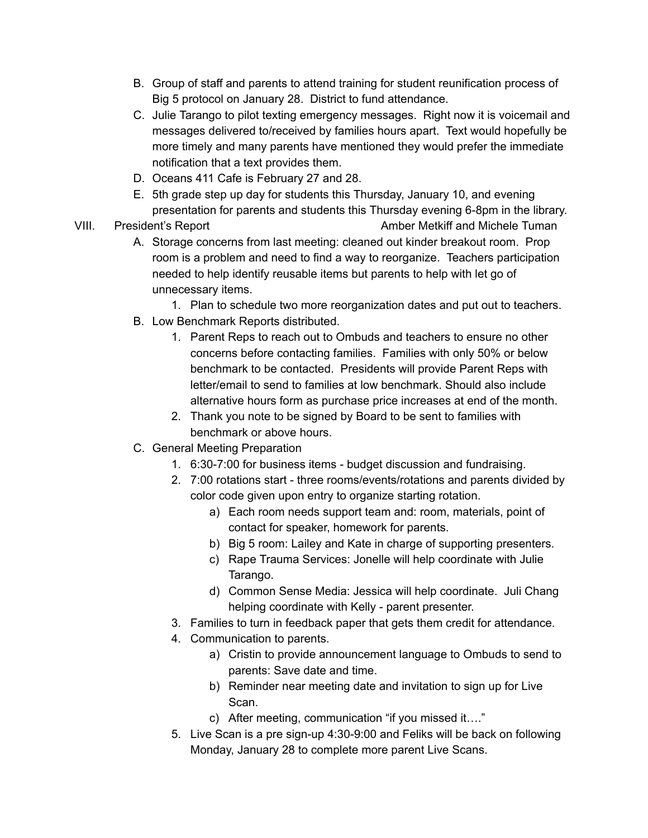- B. Group of staff and parents to attend training for student reunification process of Big 5 protocol on January 28. District to fund attendance.
- C. Julie Tarango to pilot texting emergency messages. Right now it is voicemail and messages delivered to/received by families hours apart. Text would hopefully be more timely and many parents have mentioned they would prefer the immediate notification that a text provides them.
- D. Oceans 411 Cafe is February 27 and 28.
- E. 5th grade step up day for students this Thursday, January 10, and evening presentation for parents and students this Thursday evening 6-8pm in the library.
- VIII. President's Report **Amber Metkiff and Michele Tuman** 
	- A. Storage concerns from last meeting: cleaned out kinder breakout room. Prop room is a problem and need to find a way to reorganize. Teachers participation needed to help identify reusable items but parents to help with let go of unnecessary items.
		- 1. Plan to schedule two more reorganization dates and put out to teachers.
	- B. Low Benchmark Reports distributed.
		- 1. Parent Reps to reach out to Ombuds and teachers to ensure no other concerns before contacting families. Families with only 50% or below benchmark to be contacted. Presidents will provide Parent Reps with letter/email to send to families at low benchmark. Should also include alternative hours form as purchase price increases at end of the month.
		- 2. Thank you note to be signed by Board to be sent to families with benchmark or above hours.
	- C. General Meeting Preparation
		- 1. 6:30-7:00 for business items budget discussion and fundraising.
		- 2. 7:00 rotations start three rooms/events/rotations and parents divided by color code given upon entry to organize starting rotation.
			- a) Each room needs support team and: room, materials, point of contact for speaker, homework for parents.
			- b) Big 5 room: Lailey and Kate in charge of supporting presenters.
			- c) Rape Trauma Services: Jonelle will help coordinate with Julie Tarango.
			- d) Common Sense Media: Jessica will help coordinate. Juli Chang helping coordinate with Kelly - parent presenter.
		- 3. Families to turn in feedback paper that gets them credit for attendance.
		- 4. Communication to parents.
			- a) Cristin to provide announcement language to Ombuds to send to parents: Save date and time.
			- b) Reminder near meeting date and invitation to sign up for Live Scan.
			- c) After meeting, communication "if you missed it…."
		- 5. Live Scan is a pre sign-up 4:30-9:00 and Feliks will be back on following Monday, January 28 to complete more parent Live Scans.